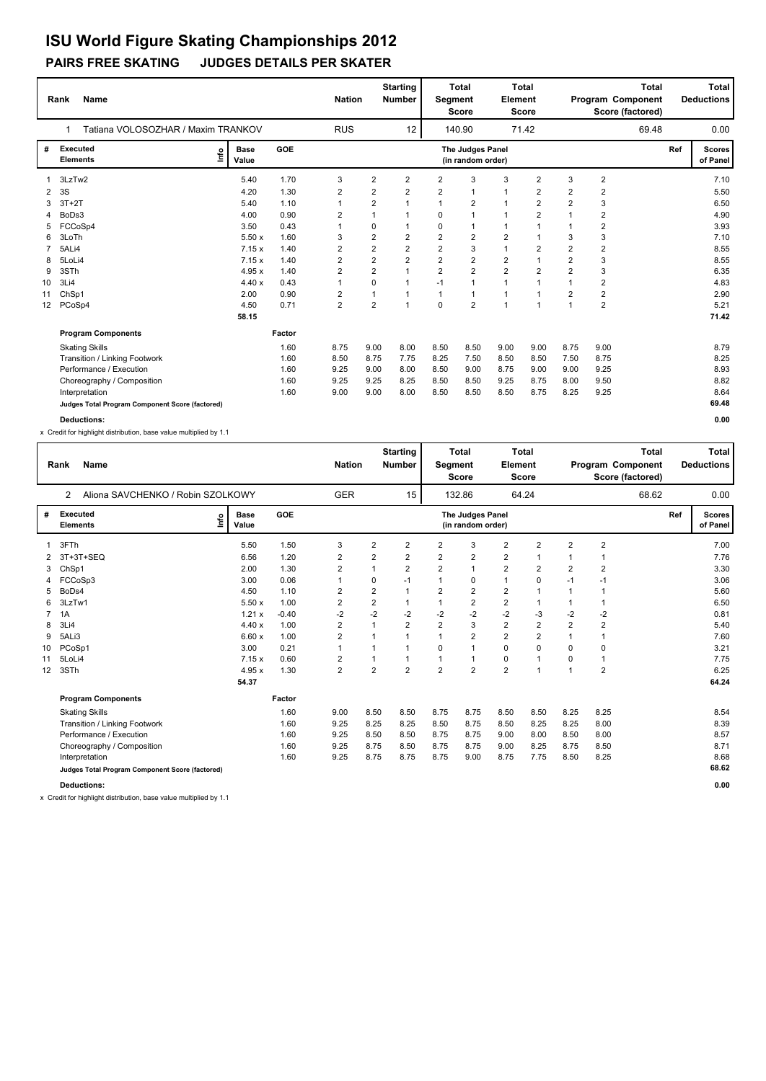## **PAIRS FREE SKATING JUDGES DETAILS PER SKATER ISU World Figure Skating Championships 2012**

|                 | <b>Name</b><br>Rank                             |    |                      |        | <b>Nation</b>  |                         | <b>Starting</b><br><b>Number</b> |                | <b>Total</b><br>Segment<br><b>Score</b> | Element        | <b>Total</b><br><b>Score</b> |                |                         | <b>Total</b><br>Program Component<br>Score (factored) |     | <b>Total</b><br><b>Deductions</b> |
|-----------------|-------------------------------------------------|----|----------------------|--------|----------------|-------------------------|----------------------------------|----------------|-----------------------------------------|----------------|------------------------------|----------------|-------------------------|-------------------------------------------------------|-----|-----------------------------------|
|                 | Tatiana VOLOSOZHAR / Maxim TRANKOV              |    |                      |        | <b>RUS</b>     |                         | 12                               |                | 140.90                                  |                | 71.42                        |                |                         | 69.48                                                 |     | 0.00                              |
| #               | <b>Executed</b><br><b>Elements</b>              | ۴ů | <b>Base</b><br>Value | GOE    |                |                         |                                  |                | The Judges Panel<br>(in random order)   |                |                              |                |                         |                                                       | Ref | <b>Scores</b><br>of Panel         |
|                 | 3LzTw2                                          |    | 5.40                 | 1.70   | 3              | $\overline{2}$          | $\overline{2}$                   | $\overline{2}$ | 3                                       | 3              | $\overline{2}$               | 3              | $\overline{2}$          |                                                       |     | 7.10                              |
| 2               | 3S                                              |    | 4.20                 | 1.30   | $\overline{2}$ | $\overline{2}$          | $\overline{2}$                   | $\overline{2}$ | $\overline{1}$                          | $\mathbf{1}$   | $\overline{2}$               | $\overline{2}$ | $\overline{2}$          |                                                       |     | 5.50                              |
|                 | $3T+2T$                                         |    | 5.40                 | 1.10   | 1              | $\overline{2}$          | $\overline{1}$                   |                | $\overline{2}$                          | $\mathbf{1}$   | $\overline{2}$               | $\overline{2}$ | 3                       |                                                       |     | 6.50                              |
| 4               | BoDs3                                           |    | 4.00                 | 0.90   | $\overline{2}$ | 1                       | 1                                | $\Omega$       | $\overline{1}$                          | 1              | 2                            |                | 2                       |                                                       |     | 4.90                              |
| 5               | FCCoSp4                                         |    | 3.50                 | 0.43   |                | 0                       | $\mathbf 1$                      | $\mathbf 0$    | 1                                       | 1              |                              |                | $\overline{2}$          |                                                       |     | 3.93                              |
| 6               | 3LoTh                                           |    | 5.50x                | 1.60   | 3              | $\overline{\mathbf{c}}$ | $\overline{2}$                   | $\overline{2}$ | $\overline{2}$                          | 2              |                              | 3              | 3                       |                                                       |     | 7.10                              |
|                 | 5ALi4                                           |    | 7.15x                | 1.40   | 2              | $\overline{2}$          | $\overline{2}$                   | $\overline{2}$ | 3                                       | $\mathbf{1}$   | $\overline{2}$               | $\overline{2}$ | $\overline{\mathbf{c}}$ |                                                       |     | 8.55                              |
| 8               | 5LoLi4                                          |    | 7.15x                | 1.40   | 2              | $\overline{2}$          | $\overline{2}$                   | $\overline{2}$ | $\overline{2}$                          | 2              |                              | $\overline{2}$ | 3                       |                                                       |     | 8.55                              |
| 9               | 3STh                                            |    | 4.95x                | 1.40   | 2              | $\overline{2}$          | $\overline{1}$                   | $\overline{2}$ | $\overline{2}$                          | $\overline{2}$ | $\overline{2}$               | $\overline{2}$ | 3                       |                                                       |     | 6.35                              |
| 10              | 3Li4                                            |    | 4.40x                | 0.43   | $\mathbf{1}$   | $\Omega$                | $\mathbf{1}$                     | $-1$           | $\mathbf{1}$                            | $\mathbf{1}$   | 1                            | 1              | $\overline{\mathbf{c}}$ |                                                       |     | 4.83                              |
| 11              | ChSp1                                           |    | 2.00                 | 0.90   | 2              | 1                       | $\mathbf{1}$                     | $\mathbf{1}$   | 1                                       | $\mathbf{1}$   | 1                            | $\overline{2}$ | $\overline{\mathbf{c}}$ |                                                       |     | 2.90                              |
| 12 <sup>2</sup> | PCoSp4                                          |    | 4.50                 | 0.71   | $\overline{2}$ | $\overline{2}$          | $\overline{1}$                   | $\Omega$       | $\overline{2}$                          | $\mathbf{1}$   | 1                            | $\overline{1}$ | 2                       |                                                       |     | 5.21                              |
|                 |                                                 |    | 58.15                |        |                |                         |                                  |                |                                         |                |                              |                |                         |                                                       |     | 71.42                             |
|                 | <b>Program Components</b>                       |    |                      | Factor |                |                         |                                  |                |                                         |                |                              |                |                         |                                                       |     |                                   |
|                 | <b>Skating Skills</b>                           |    |                      | 1.60   | 8.75           | 9.00                    | 8.00                             | 8.50           | 8.50                                    | 9.00           | 9.00                         | 8.75           | 9.00                    |                                                       |     | 8.79                              |
|                 | Transition / Linking Footwork                   |    |                      | 1.60   | 8.50           | 8.75                    | 7.75                             | 8.25           | 7.50                                    | 8.50           | 8.50                         | 7.50           | 8.75                    |                                                       |     | 8.25                              |
|                 | Performance / Execution                         |    |                      | 1.60   | 9.25           | 9.00                    | 8.00                             | 8.50           | 9.00                                    | 8.75           | 9.00                         | 9.00           | 9.25                    |                                                       |     | 8.93                              |
|                 | Choreography / Composition                      |    |                      | 1.60   | 9.25           | 9.25                    | 8.25                             | 8.50           | 8.50                                    | 9.25           | 8.75                         | 8.00           | 9.50                    |                                                       |     | 8.82                              |
|                 | Interpretation                                  |    |                      | 1.60   | 9.00           | 9.00                    | 8.00                             | 8.50           | 8.50                                    | 8.50           | 8.75                         | 8.25           | 9.25                    |                                                       |     | 8.64                              |
|                 | Judges Total Program Component Score (factored) |    |                      |        |                |                         |                                  |                |                                         |                |                              |                |                         |                                                       |     | 69.48                             |

**Deductions: 0.00**

x Credit for highlight distribution, base value multiplied by 1.1

|    | <b>Name</b><br>Rank                             |                      |            | <b>Nation</b>  |                         | <b>Starting</b><br><b>Number</b> | Segment        | <b>Total</b><br><b>Score</b>          | Element        | <b>Total</b><br><b>Score</b> |                |                | <b>Total</b><br>Program Component<br>Score (factored) |     | Total<br><b>Deductions</b> |
|----|-------------------------------------------------|----------------------|------------|----------------|-------------------------|----------------------------------|----------------|---------------------------------------|----------------|------------------------------|----------------|----------------|-------------------------------------------------------|-----|----------------------------|
|    | Aliona SAVCHENKO / Robin SZOLKOWY<br>2          |                      |            | <b>GER</b>     |                         | 15                               |                | 132.86                                |                | 64.24                        |                |                | 68.62                                                 |     | 0.00                       |
| #  | <b>Executed</b><br>lnfo<br><b>Elements</b>      | <b>Base</b><br>Value | <b>GOE</b> |                |                         |                                  |                | The Judges Panel<br>(in random order) |                |                              |                |                |                                                       | Ref | <b>Scores</b><br>of Panel  |
|    | 3FTh                                            | 5.50                 | 1.50       | 3              | $\overline{2}$          | 2                                | 2              | 3                                     | $\overline{2}$ | $\overline{2}$               | $\overline{2}$ | $\overline{2}$ |                                                       |     | 7.00                       |
| 2  | 3T+3T+SEQ                                       | 6.56                 | 1.20       | 2              | 2                       | 2                                | 2              | 2                                     | $\overline{2}$ |                              | $\mathbf 1$    |                |                                                       |     | 7.76                       |
| 3  | ChSp1                                           | 2.00                 | 1.30       | $\overline{2}$ |                         | $\overline{2}$                   | $\overline{2}$ | $\mathbf{1}$                          | $\overline{2}$ | $\overline{2}$               | $\overline{2}$ | $\overline{2}$ |                                                       |     | 3.30                       |
| 4  | FCCoSp3                                         | 3.00                 | 0.06       | $\mathbf 1$    | 0                       | $-1$                             | 1              | 0                                     | $\mathbf{1}$   | 0                            | $-1$           | -1             |                                                       |     | 3.06                       |
| 5  | BoDs4                                           | 4.50                 | 1.10       | $\overline{2}$ | $\overline{\mathbf{c}}$ | 1                                | $\overline{2}$ | $\overline{\mathbf{c}}$               | $\overline{2}$ |                              | $\mathbf{1}$   |                |                                                       |     | 5.60                       |
| 6  | 3LzTw1                                          | 5.50x                | 1.00       | 2              | $\overline{\mathbf{c}}$ | 1                                | 1              | $\overline{\mathbf{c}}$               | $\overline{2}$ |                              | 1              |                |                                                       |     | 6.50                       |
|    | 1A                                              | 1.21x                | $-0.40$    | $-2$           | $-2$                    | $-2$                             | $-2$           | $-2$                                  | $-2$           | -3                           | $-2$           | $-2$           |                                                       |     | 0.81                       |
| 8  | 3Li4                                            | 4.40x                | 1.00       | $\overline{2}$ |                         | $\overline{2}$                   | $\overline{2}$ | 3                                     | $\overline{2}$ | $\overline{2}$               | $\overline{2}$ | $\overline{2}$ |                                                       |     | 5.40                       |
| 9  | 5ALi3                                           | 6.60x                | 1.00       | $\overline{2}$ |                         |                                  |                | $\overline{2}$                        | $\overline{2}$ | $\overline{2}$               | $\mathbf{1}$   |                |                                                       |     | 7.60                       |
| 10 | PCoSp1                                          | 3.00                 | 0.21       | 1              |                         |                                  | 0              | 1                                     | $\mathbf 0$    | $\Omega$                     | $\Omega$       | $\mathbf 0$    |                                                       |     | 3.21                       |
| 11 | 5LoLi4                                          | 7.15x                | 0.60       | $\overline{2}$ |                         | 1                                |                | 1                                     | 0              | $\overline{1}$               | 0              | $\mathbf 1$    |                                                       |     | 7.75                       |
| 12 | 3STh                                            | 4.95x                | 1.30       | $\overline{2}$ | $\overline{2}$          | $\overline{2}$                   | $\overline{2}$ | $\overline{2}$                        | $\overline{2}$ | $\overline{1}$               | $\overline{1}$ | $\overline{2}$ |                                                       |     | 6.25                       |
|    |                                                 | 54.37                |            |                |                         |                                  |                |                                       |                |                              |                |                |                                                       |     | 64.24                      |
|    | <b>Program Components</b>                       |                      | Factor     |                |                         |                                  |                |                                       |                |                              |                |                |                                                       |     |                            |
|    | <b>Skating Skills</b>                           |                      | 1.60       | 9.00           | 8.50                    | 8.50                             | 8.75           | 8.75                                  | 8.50           | 8.50                         | 8.25           | 8.25           |                                                       |     | 8.54                       |
|    | Transition / Linking Footwork                   |                      | 1.60       | 9.25           | 8.25                    | 8.25                             | 8.50           | 8.75                                  | 8.50           | 8.25                         | 8.25           | 8.00           |                                                       |     | 8.39                       |
|    | Performance / Execution                         |                      | 1.60       | 9.25           | 8.50                    | 8.50                             | 8.75           | 8.75                                  | 9.00           | 8.00                         | 8.50           | 8.00           |                                                       |     | 8.57                       |
|    | Choreography / Composition                      |                      | 1.60       | 9.25           | 8.75                    | 8.50                             | 8.75           | 8.75                                  | 9.00           | 8.25                         | 8.75           | 8.50           |                                                       |     | 8.71                       |
|    | Interpretation                                  |                      | 1.60       | 9.25           | 8.75                    | 8.75                             | 8.75           | 9.00                                  | 8.75           | 7.75                         | 8.50           | 8.25           |                                                       |     | 8.68                       |
|    | Judges Total Program Component Score (factored) |                      |            |                |                         |                                  |                |                                       |                |                              |                |                |                                                       |     | 68.62                      |
|    | <b>Deductions:</b>                              |                      |            |                |                         |                                  |                |                                       |                |                              |                |                |                                                       |     | 0.00                       |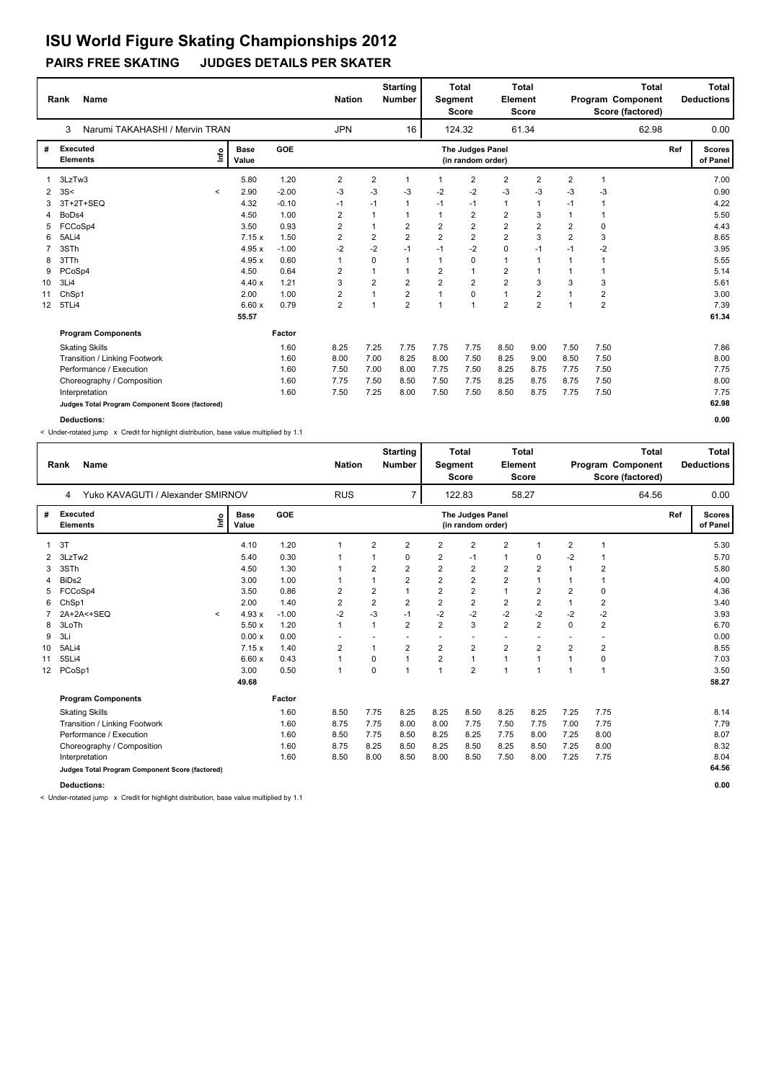#### **PAIRS FREE SKATING JUDGES DETAILS PER SKATER**

|                 | <b>Name</b><br>Rank                             |         |                      |         | <b>Nation</b>           |                | <b>Starting</b><br><b>Number</b> | Segment        | <b>Total</b><br><b>Score</b>          | Element        | <b>Total</b><br><b>Score</b> |                | <b>Total</b><br>Program Component<br>Score (factored) |     | <b>Total</b><br><b>Deductions</b> |
|-----------------|-------------------------------------------------|---------|----------------------|---------|-------------------------|----------------|----------------------------------|----------------|---------------------------------------|----------------|------------------------------|----------------|-------------------------------------------------------|-----|-----------------------------------|
|                 | 3<br>Narumi TAKAHASHI / Mervin TRAN             |         |                      |         | <b>JPN</b>              |                | 16                               |                | 124.32                                |                | 61.34                        |                | 62.98                                                 |     | 0.00                              |
| #               | <b>Executed</b><br><b>Elements</b>              | ١nf٥    | <b>Base</b><br>Value | GOE     |                         |                |                                  |                | The Judges Panel<br>(in random order) |                |                              |                |                                                       | Ref | <b>Scores</b><br>of Panel         |
|                 | 3LzTw3                                          |         | 5.80                 | 1.20    | 2                       | 2              | $\mathbf{1}$                     | 1              | $\overline{2}$                        | $\overline{2}$ | $\overline{2}$               | $\overline{2}$ | $\overline{1}$                                        |     | 7.00                              |
| 2               | 3S<                                             | $\,<\,$ | 2.90                 | $-2.00$ | -3                      | $-3$           | -3                               | $-2$           | $-2$                                  | $-3$           | -3                           | -3             | -3                                                    |     | 0.90                              |
| 3               | 3T+2T+SEQ                                       |         | 4.32                 | $-0.10$ | $-1$                    | $-1$           | $\mathbf{1}$                     | $-1$           | $-1$                                  | $\mathbf{1}$   | $\mathbf{1}$                 | $-1$           | 1                                                     |     | 4.22                              |
| 4               | BoDs4                                           |         | 4.50                 | 1.00    | 2                       | 1              | $\mathbf{1}$                     | $\mathbf{1}$   | $\overline{2}$                        | $\overline{2}$ | 3                            | $\mathbf{1}$   | 1                                                     |     | 5.50                              |
| 5               | FCCoSp4                                         |         | 3.50                 | 0.93    | 2                       | 1              | $\overline{2}$                   | $\overline{2}$ | $\overline{2}$                        | $\overline{2}$ | $\overline{2}$               | $\overline{2}$ | 0                                                     |     | 4.43                              |
| 6               | 5ALi4                                           |         | 7.15x                | 1.50    | 2                       | $\overline{2}$ | $\overline{2}$                   | $\overline{2}$ | $\overline{2}$                        | $\overline{2}$ | 3                            | $\overline{2}$ | 3                                                     |     | 8.65                              |
|                 | 3STh                                            |         | 4.95x                | $-1.00$ | $-2$                    | $-2$           | $-1$                             | $-1$           | $-2$                                  | $\mathbf 0$    | $-1$                         | $-1$           | $-2$                                                  |     | 3.95                              |
| 8               | 3TTh                                            |         | 4.95x                | 0.60    |                         | 0              | -1                               | $\mathbf 1$    | 0                                     | $\overline{1}$ | $\mathbf{1}$                 |                |                                                       |     | 5.55                              |
| 9               | PCoSp4                                          |         | 4.50                 | 0.64    | $\overline{\mathbf{c}}$ | 1              |                                  | $\overline{2}$ | $\overline{1}$                        | $\overline{2}$ | 1                            |                | 1                                                     |     | 5.14                              |
| 10              | 3Li4                                            |         | 4.40x                | 1.21    | 3                       | 2              | $\overline{2}$                   | $\overline{2}$ | $\overline{2}$                        | $\overline{2}$ | 3                            | 3              | 3                                                     |     | 5.61                              |
| 11              | ChSp1                                           |         | 2.00                 | 1.00    | 2                       | 1              | $\mathbf 2$                      | $\mathbf{1}$   | 0                                     | $\mathbf{1}$   | 2                            |                | $\overline{\mathbf{c}}$                               |     | 3.00                              |
| 12 <sup>2</sup> | 5TLi4                                           |         | 6.60x                | 0.79    | $\overline{2}$          | 1              | $\overline{2}$                   | $\overline{1}$ | $\overline{1}$                        | $\overline{2}$ | $\overline{2}$               | $\overline{1}$ | $\overline{2}$                                        |     | 7.39                              |
|                 |                                                 |         | 55.57                |         |                         |                |                                  |                |                                       |                |                              |                |                                                       |     | 61.34                             |
|                 | <b>Program Components</b>                       |         |                      | Factor  |                         |                |                                  |                |                                       |                |                              |                |                                                       |     |                                   |
|                 | <b>Skating Skills</b>                           |         |                      | 1.60    | 8.25                    | 7.25           | 7.75                             | 7.75           | 7.75                                  | 8.50           | 9.00                         | 7.50           | 7.50                                                  |     | 7.86                              |
|                 | Transition / Linking Footwork                   |         |                      | 1.60    | 8.00                    | 7.00           | 8.25                             | 8.00           | 7.50                                  | 8.25           | 9.00                         | 8.50           | 7.50                                                  |     | 8.00                              |
|                 | Performance / Execution                         |         |                      | 1.60    | 7.50                    | 7.00           | 8.00                             | 7.75           | 7.50                                  | 8.25           | 8.75                         | 7.75           | 7.50                                                  |     | 7.75                              |
|                 | Choreography / Composition                      |         |                      | 1.60    | 7.75                    | 7.50           | 8.50                             | 7.50           | 7.75                                  | 8.25           | 8.75                         | 8.75           | 7.50                                                  |     | 8.00                              |
|                 | Interpretation                                  |         |                      | 1.60    | 7.50                    | 7.25           | 8.00                             | 7.50           | 7.50                                  | 8.50           | 8.75                         | 7.75           | 7.50                                                  |     | 7.75                              |
|                 | Judges Total Program Component Score (factored) |         |                      |         |                         |                |                                  |                |                                       |                |                              |                |                                                       |     | 62.98                             |
|                 | <b>Deductions:</b>                              |         |                      |         |                         |                |                                  |                |                                       |                |                              |                |                                                       |     | 0.00                              |

< Under-rotated jump x Credit for highlight distribution, base value multiplied by 1.1

|    | <b>Name</b><br>Rank                             |              |                      |            | <b>Nation</b>  |                         | <b>Starting</b><br>Number | <b>Segment</b>          | <b>Total</b><br><b>Score</b>          | Element                 | <b>Total</b><br><b>Score</b> |                         | <b>Total</b><br>Program Component<br>Score (factored) |     | <b>Total</b><br><b>Deductions</b> |
|----|-------------------------------------------------|--------------|----------------------|------------|----------------|-------------------------|---------------------------|-------------------------|---------------------------------------|-------------------------|------------------------------|-------------------------|-------------------------------------------------------|-----|-----------------------------------|
|    | Yuko KAVAGUTI / Alexander SMIRNOV<br>4          |              |                      |            | <b>RUS</b>     |                         | $\overline{7}$            |                         | 122.83                                |                         | 58.27                        |                         | 64.56                                                 |     | 0.00                              |
| #  | Executed<br><b>Elements</b>                     | Info         | <b>Base</b><br>Value | <b>GOE</b> |                |                         |                           |                         | The Judges Panel<br>(in random order) |                         |                              |                         |                                                       | Ref | <b>Scores</b><br>of Panel         |
|    | 3T                                              |              | 4.10                 | 1.20       | 1              | $\overline{2}$          | $\overline{2}$            | $\overline{\mathbf{c}}$ | $\overline{2}$                        | $\mathbf 2$             | 1                            | $\overline{\mathbf{c}}$ | 1                                                     |     | 5.30                              |
| 2  | 3LzTw2                                          |              | 5.40                 | 0.30       |                |                         | 0                         | 2                       | $-1$                                  | $\mathbf{1}$            | 0                            | $-2$                    |                                                       |     | 5.70                              |
| 3  | 3STh                                            |              | 4.50                 | 1.30       |                | $\overline{2}$          | 2                         | $\overline{2}$          | $\overline{2}$                        | $\overline{2}$          | $\overline{2}$               |                         | $\overline{2}$                                        |     | 5.80                              |
| 4  | BiD <sub>s2</sub>                               |              | 3.00                 | 1.00       | 1              | 1                       | $\overline{2}$            | $\overline{2}$          | $\overline{2}$                        | $\overline{\mathbf{c}}$ | 1                            |                         | 1                                                     |     | 4.00                              |
| 5  | FCCoSp4                                         |              | 3.50                 | 0.86       | 2              | $\overline{\mathbf{c}}$ |                           | $\overline{2}$          | $\overline{2}$                        | $\mathbf{1}$            | $\overline{2}$               | $\overline{\mathbf{c}}$ | 0                                                     |     | 4.36                              |
| 6  | ChSp1                                           |              | 2.00                 | 1.40       | $\overline{2}$ | $\overline{\mathbf{c}}$ | $\overline{2}$            | $\overline{2}$          | $\overline{2}$                        | $\overline{2}$          | 2                            |                         | $\overline{2}$                                        |     | 3.40                              |
|    | 2A+2A<+SEQ                                      | $\checkmark$ | 4.93x                | $-1.00$    | $-2$           | $-3$                    | $-1$                      | $-2$                    | $-2$                                  | $-2$                    | $-2$                         | $-2$                    | $-2$                                                  |     | 3.93                              |
| 8  | 3LoTh                                           |              | 5.50x                | 1.20       | $\mathbf{1}$   | $\mathbf{1}$            | $\overline{2}$            | $\overline{2}$          | 3                                     | $\overline{2}$          | $\overline{2}$               | $\Omega$                | $\overline{2}$                                        |     | 6.70                              |
| 9  | 3Li                                             |              | 0.00x                | 0.00       |                |                         |                           |                         |                                       |                         |                              |                         |                                                       |     | 0.00                              |
| 10 | 5ALi4                                           |              | 7.15x                | 1.40       | 2              | $\mathbf{1}$            | $\overline{2}$            | 2                       | $\overline{2}$                        | $\overline{2}$          | $\overline{2}$               | $\overline{2}$          | $\overline{2}$                                        |     | 8.55                              |
| 11 | 5SLi4                                           |              | 6.60x                | 0.43       | 1              | 0                       | 1                         | $\overline{2}$          | $\mathbf{1}$                          | $\mathbf{1}$            | 1                            | $\overline{1}$          | 0                                                     |     | 7.03                              |
| 12 | PCoSp1                                          |              | 3.00                 | 0.50       | $\mathbf{1}$   | $\Omega$                | 1                         | $\mathbf{1}$            | $\overline{2}$                        | $\overline{1}$          | $\mathbf{1}$                 | -1                      | $\mathbf{1}$                                          |     | 3.50                              |
|    |                                                 |              | 49.68                |            |                |                         |                           |                         |                                       |                         |                              |                         |                                                       |     | 58.27                             |
|    | <b>Program Components</b>                       |              |                      | Factor     |                |                         |                           |                         |                                       |                         |                              |                         |                                                       |     |                                   |
|    | <b>Skating Skills</b>                           |              |                      | 1.60       | 8.50           | 7.75                    | 8.25                      | 8.25                    | 8.50                                  | 8.25                    | 8.25                         | 7.25                    | 7.75                                                  |     | 8.14                              |
|    | Transition / Linking Footwork                   |              |                      | 1.60       | 8.75           | 7.75                    | 8.00                      | 8.00                    | 7.75                                  | 7.50                    | 7.75                         | 7.00                    | 7.75                                                  |     | 7.79                              |
|    | Performance / Execution                         |              |                      | 1.60       | 8.50           | 7.75                    | 8.50                      | 8.25                    | 8.25                                  | 7.75                    | 8.00                         | 7.25                    | 8.00                                                  |     | 8.07                              |
|    | Choreography / Composition                      |              |                      | 1.60       | 8.75           | 8.25                    | 8.50                      | 8.25                    | 8.50                                  | 8.25                    | 8.50                         | 7.25                    | 8.00                                                  |     | 8.32                              |
|    | Interpretation                                  |              |                      | 1.60       | 8.50           | 8.00                    | 8.50                      | 8.00                    | 8.50                                  | 7.50                    | 8.00                         | 7.25                    | 7.75                                                  |     | 8.04                              |
|    | Judges Total Program Component Score (factored) |              |                      |            |                |                         |                           |                         |                                       |                         |                              |                         |                                                       |     | 64.56                             |
|    | <b>Deductions:</b>                              |              |                      |            |                |                         |                           |                         |                                       |                         |                              |                         |                                                       |     | 0.00                              |

< Under-rotated jump x Credit for highlight distribution, base value multiplied by 1.1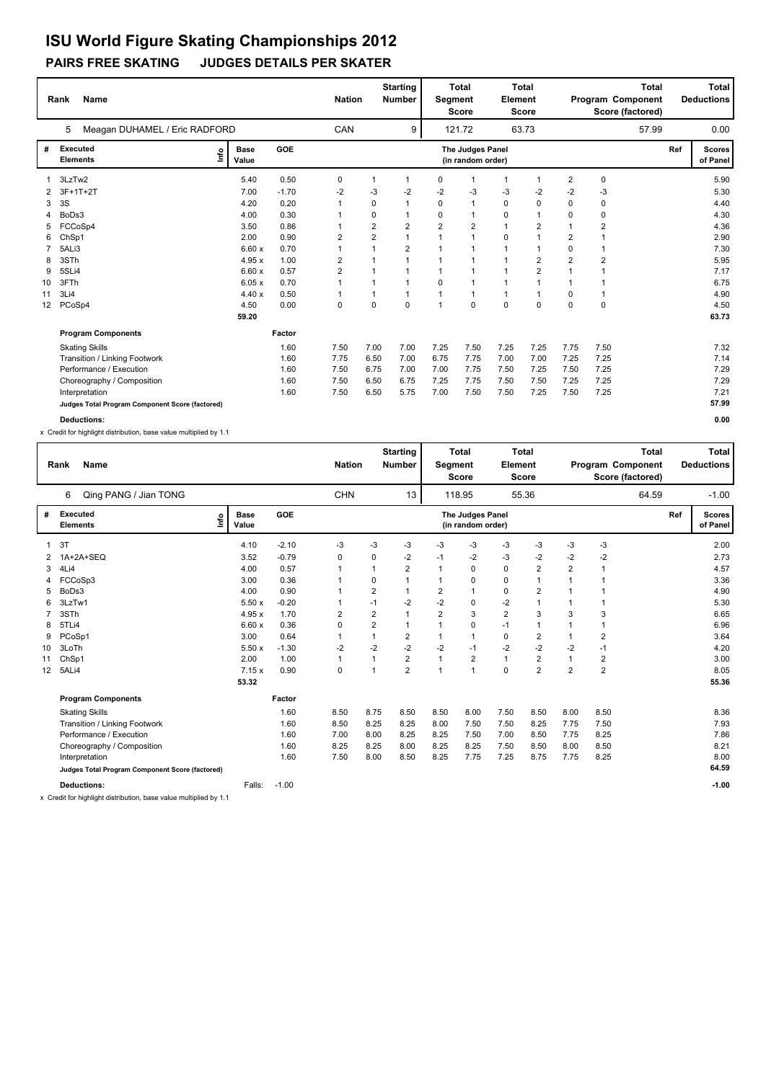## **PAIRS FREE SKATING JUDGES DETAILS PER SKATER**

|                 | <b>Name</b><br>Rank                             |                              |         | <b>Nation</b>           |                | <b>Starting</b><br><b>Number</b> | Segment        | <b>Total</b><br><b>Score</b>          | <b>Element</b> | <b>Total</b><br><b>Score</b> |                | Program Component | <b>Total</b><br>Score (factored) |     | <b>Total</b><br><b>Deductions</b> |
|-----------------|-------------------------------------------------|------------------------------|---------|-------------------------|----------------|----------------------------------|----------------|---------------------------------------|----------------|------------------------------|----------------|-------------------|----------------------------------|-----|-----------------------------------|
|                 | Meagan DUHAMEL / Eric RADFORD<br>5              |                              |         | CAN                     |                | 9                                |                | 121.72                                |                | 63.73                        |                |                   | 57.99                            |     | 0.00                              |
| #               | Executed<br><b>Elements</b>                     | <b>Base</b><br>lnfo<br>Value | GOE     |                         |                |                                  |                | The Judges Panel<br>(in random order) |                |                              |                |                   |                                  | Ref | <b>Scores</b><br>of Panel         |
|                 | 3LzTw2                                          | 5.40                         | 0.50    | 0                       |                | 1                                | 0              | $\mathbf{1}$                          | $\overline{1}$ | -1                           | $\overline{2}$ | $\pmb{0}$         |                                  |     | 5.90                              |
| 2               | $3F+1T+2T$                                      | 7.00                         | $-1.70$ | $-2$                    | -3             | $-2$                             | $-2$           | -3                                    | -3             | $-2$                         | $-2$           | -3                |                                  |     | 5.30                              |
| 3               | 3S                                              | 4.20                         | 0.20    | 1                       | $\Omega$       | 1                                | 0              | $\mathbf{1}$                          | 0              | $\Omega$                     | $\Omega$       | 0                 |                                  |     | 4.40                              |
| 4               | BoDs3                                           | 4.00                         | 0.30    | 1                       | 0              | 1                                | 0              | $\mathbf{1}$                          | 0              | $\overline{1}$               | 0              | $\mathbf 0$       |                                  |     | 4.30                              |
| 5               | FCCoSp4                                         | 3.50                         | 0.86    | 1                       | $\overline{2}$ | $\overline{2}$                   | $\overline{2}$ | $\overline{2}$                        | $\mathbf{1}$   | $\overline{2}$               | $\mathbf{1}$   | $\overline{2}$    |                                  |     | 4.36                              |
| 6               | ChSp1                                           | 2.00                         | 0.90    | 2                       | $\overline{2}$ | $\mathbf{1}$                     | $\overline{1}$ | $\mathbf{1}$                          | 0              | 1                            | $\overline{2}$ |                   |                                  |     | 2.90                              |
|                 | 5ALi3                                           | 6.60x                        | 0.70    |                         |                | $\overline{2}$                   |                | $\overline{1}$                        |                | 1                            | $\mathbf 0$    |                   |                                  |     | 7.30                              |
| 8               | 3STh                                            | 4.95x                        | 1.00    | 2                       |                |                                  |                | $\overline{1}$                        |                | 2                            | $\overline{2}$ | $\overline{2}$    |                                  |     | 5.95                              |
| 9               | 5SLi4                                           | 6.60x                        | 0.57    | $\overline{\mathbf{c}}$ |                |                                  |                | $\overline{1}$                        | $\overline{1}$ | $\overline{2}$               | 1              |                   |                                  |     | 7.17                              |
| 10              | 3FTh                                            | 6.05x                        | 0.70    |                         |                | $\mathbf 1$                      | 0              | $\mathbf{1}$                          | $\overline{1}$ | 1                            | $\mathbf 1$    |                   |                                  |     | 6.75                              |
| 11              | 3Li4                                            | 4.40x                        | 0.50    | 1                       |                | $\mathbf 1$                      |                | $\mathbf{1}$                          | $\mathbf{1}$   | 1                            | 0              | 1                 |                                  |     | 4.90                              |
| 12 <sup>2</sup> | PCoSp4                                          | 4.50                         | 0.00    | 0                       | $\Omega$       | $\Omega$                         |                | $\Omega$                              | $\mathbf 0$    | $\Omega$                     | $\Omega$       | $\mathbf 0$       |                                  |     | 4.50                              |
|                 |                                                 | 59.20                        |         |                         |                |                                  |                |                                       |                |                              |                |                   |                                  |     | 63.73                             |
|                 | <b>Program Components</b>                       |                              | Factor  |                         |                |                                  |                |                                       |                |                              |                |                   |                                  |     |                                   |
|                 | <b>Skating Skills</b>                           |                              | 1.60    | 7.50                    | 7.00           | 7.00                             | 7.25           | 7.50                                  | 7.25           | 7.25                         | 7.75           | 7.50              |                                  |     | 7.32                              |
|                 | Transition / Linking Footwork                   |                              | 1.60    | 7.75                    | 6.50           | 7.00                             | 6.75           | 7.75                                  | 7.00           | 7.00                         | 7.25           | 7.25              |                                  |     | 7.14                              |
|                 | Performance / Execution                         |                              | 1.60    | 7.50                    | 6.75           | 7.00                             | 7.00           | 7.75                                  | 7.50           | 7.25                         | 7.50           | 7.25              |                                  |     | 7.29                              |
|                 | Choreography / Composition                      |                              | 1.60    | 7.50                    | 6.50           | 6.75                             | 7.25           | 7.75                                  | 7.50           | 7.50                         | 7.25           | 7.25              |                                  |     | 7.29                              |
|                 | Interpretation                                  |                              | 1.60    | 7.50                    | 6.50           | 5.75                             | 7.00           | 7.50                                  | 7.50           | 7.25                         | 7.50           | 7.25              |                                  |     | 7.21                              |
|                 | Judges Total Program Component Score (factored) |                              |         |                         |                |                                  |                |                                       |                |                              |                |                   |                                  |     | 57.99                             |
|                 | <b>Deductions:</b>                              |                              |         |                         |                |                                  |                |                                       |                |                              |                |                   |                                  |     | 0.00                              |

x Credit for highlight distribution, base value multiplied by 1.1

|                 | <b>Name</b><br>Rank                             |                      |         | <b>Nation</b> |                | <b>Starting</b><br><b>Number</b> | Segment        | <b>Total</b><br><b>Score</b>                 | Element        | <b>Total</b><br><b>Score</b> |                |                | <b>Total</b><br>Program Component<br>Score (factored) |     | Total<br><b>Deductions</b> |
|-----------------|-------------------------------------------------|----------------------|---------|---------------|----------------|----------------------------------|----------------|----------------------------------------------|----------------|------------------------------|----------------|----------------|-------------------------------------------------------|-----|----------------------------|
|                 | Qing PANG / Jian TONG<br>6                      |                      |         | <b>CHN</b>    |                | 13                               |                | 118.95                                       |                | 55.36                        |                |                | 64.59                                                 |     | $-1.00$                    |
| #               | Executed<br>lnfo<br><b>Elements</b>             | <b>Base</b><br>Value | GOE     |               |                |                                  |                | <b>The Judges Panel</b><br>(in random order) |                |                              |                |                |                                                       | Ref | <b>Scores</b><br>of Panel  |
| 1               | 3T                                              | 4.10                 | $-2.10$ | $-3$          | $-3$           | $-3$                             | -3             | $-3$                                         | $-3$           | $-3$                         | -3             | $-3$           |                                                       |     | 2.00                       |
| 2               | 1A+2A+SEQ                                       | 3.52                 | $-0.79$ | 0             | 0              | $-2$                             | $-1$           | $-2$                                         | $-3$           | $-2$                         | $-2$           | $-2$           |                                                       |     | 2.73                       |
| 3               | 4Li4                                            | 4.00                 | 0.57    | 1             | 1              | $\overline{2}$                   | 1              | $\mathbf 0$                                  | $\mathbf 0$    | $\overline{2}$               | $\overline{2}$ | $\overline{1}$ |                                                       |     | 4.57                       |
| 4               | FCCoSp3                                         | 3.00                 | 0.36    |               | 0              | 1                                | 1              | 0                                            | 0              | $\overline{1}$               |                |                |                                                       |     | 3.36                       |
| 5               | BoDs3                                           | 4.00                 | 0.90    |               | $\overline{2}$ | 1                                | $\overline{2}$ | $\mathbf{1}$                                 | $\pmb{0}$      | $\overline{\mathbf{c}}$      |                |                |                                                       |     | 4.90                       |
| 6               | 3LzTw1                                          | 5.50x                | $-0.20$ |               | $-1$           | $-2$                             | $-2$           | $\pmb{0}$                                    | $-2$           | 1                            |                |                |                                                       |     | 5.30                       |
|                 | 3STh                                            | 4.95 x               | 1.70    | 2             | $\overline{2}$ | 1                                | $\overline{2}$ | 3                                            | $\overline{2}$ | 3                            | 3              | 3              |                                                       |     | 6.65                       |
| 8               | 5TLi4                                           | 6.60x                | 0.36    | $\Omega$      | $\overline{2}$ | 1                                | 1              | 0                                            | $-1$           | 1                            |                | 1              |                                                       |     | 6.96                       |
| 9               | PCoSp1                                          | 3.00                 | 0.64    | 1             | $\mathbf{1}$   | $\overline{2}$                   | $\mathbf{1}$   | $\mathbf{1}$                                 | 0              | $\overline{2}$               |                | $\overline{2}$ |                                                       |     | 3.64                       |
| 10              | 3LoTh                                           | 5.50x                | $-1.30$ | $-2$          | $-2$           | $-2$                             | $-2$           | $-1$                                         | $-2$           | $-2$                         | $-2$           | $-1$           |                                                       |     | 4.20                       |
| 11              | ChSp1                                           | 2.00                 | 1.00    | 1             | $\mathbf{1}$   | 2                                | $\mathbf{1}$   | $\overline{2}$                               | 1              | $\overline{2}$               |                | $\overline{2}$ |                                                       |     | 3.00                       |
| 12 <sup>2</sup> | 5ALi4                                           | 7.15x                | 0.90    | 0             | $\mathbf{1}$   | $\overline{2}$                   | $\mathbf{1}$   | $\mathbf{1}$                                 | $\mathbf 0$    | $\overline{2}$               | $\overline{2}$ | $\overline{2}$ |                                                       |     | 8.05                       |
|                 |                                                 | 53.32                |         |               |                |                                  |                |                                              |                |                              |                |                |                                                       |     | 55.36                      |
|                 | <b>Program Components</b>                       |                      | Factor  |               |                |                                  |                |                                              |                |                              |                |                |                                                       |     |                            |
|                 | <b>Skating Skills</b>                           |                      | 1.60    | 8.50          | 8.75           | 8.50                             | 8.50           | 8.00                                         | 7.50           | 8.50                         | 8.00           | 8.50           |                                                       |     | 8.36                       |
|                 | Transition / Linking Footwork                   |                      | 1.60    | 8.50          | 8.25           | 8.25                             | 8.00           | 7.50                                         | 7.50           | 8.25                         | 7.75           | 7.50           |                                                       |     | 7.93                       |
|                 | Performance / Execution                         |                      | 1.60    | 7.00          | 8.00           | 8.25                             | 8.25           | 7.50                                         | 7.00           | 8.50                         | 7.75           | 8.25           |                                                       |     | 7.86                       |
|                 | Choreography / Composition                      |                      | 1.60    | 8.25          | 8.25           | 8.00                             | 8.25           | 8.25                                         | 7.50           | 8.50                         | 8.00           | 8.50           |                                                       |     | 8.21                       |
|                 | Interpretation                                  |                      | 1.60    | 7.50          | 8.00           | 8.50                             | 8.25           | 7.75                                         | 7.25           | 8.75                         | 7.75           | 8.25           |                                                       |     | 8.00                       |
|                 | Judges Total Program Component Score (factored) |                      |         |               |                |                                  |                |                                              |                |                              |                |                |                                                       |     | 64.59                      |
|                 | Deductions:                                     | Falls:               | $-1.00$ |               |                |                                  |                |                                              |                |                              |                |                |                                                       |     | $-1.00$                    |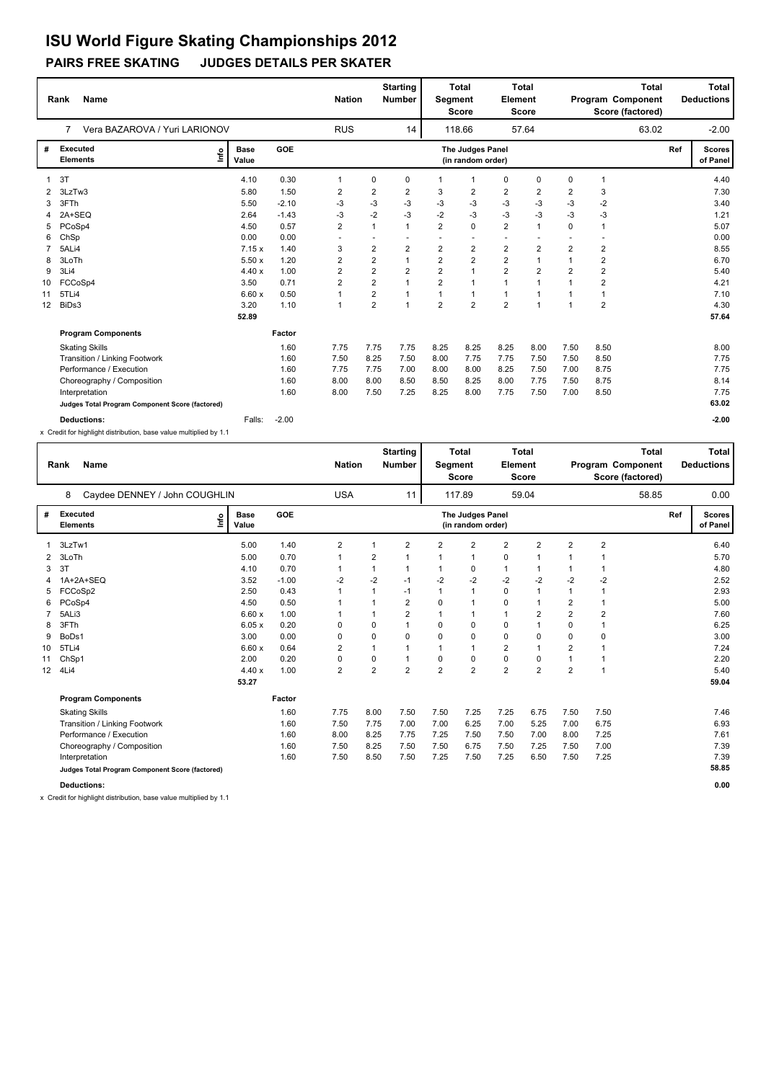## **PAIRS FREE SKATING JUDGES DETAILS PER SKATER**

|    | <b>Name</b><br>Rank                             |                      |         | <b>Nation</b>  |                         | <b>Starting</b><br><b>Number</b> | Segment        | <b>Total</b><br><b>Score</b>          | Element                  | <b>Total</b><br><b>Score</b> |                | <b>Total</b><br>Program Component<br>Score (factored) |     | <b>Total</b><br><b>Deductions</b> |
|----|-------------------------------------------------|----------------------|---------|----------------|-------------------------|----------------------------------|----------------|---------------------------------------|--------------------------|------------------------------|----------------|-------------------------------------------------------|-----|-----------------------------------|
|    | Vera BAZAROVA / Yuri LARIONOV<br>7              |                      |         | <b>RUS</b>     |                         | 14                               |                | 118.66                                |                          | 57.64                        |                | 63.02                                                 |     | $-2.00$                           |
| #  | <b>Executed</b><br>١nf٥<br><b>Elements</b>      | <b>Base</b><br>Value | GOE     |                |                         |                                  |                | The Judges Panel<br>(in random order) |                          |                              |                |                                                       | Ref | <b>Scores</b><br>of Panel         |
|    | 3T                                              | 4.10                 | 0.30    | $\mathbf 1$    | 0                       | 0                                | $\mathbf 1$    | -1                                    | 0                        | 0                            | 0              | $\overline{1}$                                        |     | 4.40                              |
| 2  | 3LzTw3                                          | 5.80                 | 1.50    | 2              | 2                       | 2                                | 3              | 2                                     | $\overline{2}$           | $\overline{2}$               | 2              | 3                                                     |     | 7.30                              |
| 3  | 3FTh                                            | 5.50                 | $-2.10$ | -3             | $-3$                    | $-3$                             | $-3$           | $-3$                                  | $-3$                     | $-3$                         | $-3$           | $-2$                                                  |     | 3.40                              |
|    | 2A+SEQ                                          | 2.64                 | $-1.43$ | -3             | $-2$                    | $-3$                             | $-2$           | $-3$                                  | $-3$                     | $-3$                         | $-3$           | $-3$                                                  |     | 1.21                              |
| 5  | PCoSp4                                          | 4.50                 | 0.57    | 2              | $\overline{1}$          | $\mathbf{1}$                     | $\overline{2}$ | $\mathbf 0$                           | $\overline{2}$           | $\mathbf{1}$                 | $\mathbf 0$    | $\overline{1}$                                        |     | 5.07                              |
| 6  | ChSp                                            | 0.00                 | 0.00    |                |                         |                                  |                |                                       | $\overline{\phantom{a}}$ |                              |                |                                                       |     | 0.00                              |
|    | 5ALi4                                           | 7.15x                | 1.40    | 3              | 2                       | $\overline{2}$                   | $\overline{2}$ | $\overline{2}$                        | $\overline{2}$           | $\overline{2}$               | $\overline{2}$ | $\overline{\mathbf{c}}$                               |     | 8.55                              |
| 8  | 3LoTh                                           | 5.50x                | 1.20    | 2              | $\overline{2}$          | $\mathbf{1}$                     | $\overline{2}$ | $\overline{2}$                        | $\overline{2}$           | 1                            | $\mathbf{1}$   | $\overline{2}$                                        |     | 6.70                              |
| 9  | 3Li4                                            | 4.40x                | 1.00    | $\overline{2}$ | $\overline{2}$          | $\overline{2}$                   | $\overline{2}$ | $\overline{1}$                        | $\overline{2}$           | $\overline{2}$               | $\overline{2}$ | $\overline{\mathbf{c}}$                               |     | 5.40                              |
| 10 | FCCoSp4                                         | 3.50                 | 0.71    | $\overline{2}$ | $\overline{\mathbf{c}}$ | $\mathbf{1}$                     | $\overline{2}$ | $\overline{1}$                        | $\overline{1}$           | $\overline{1}$               |                | $\overline{2}$                                        |     | 4.21                              |
| 11 | 5TLi4                                           | 6.60x                | 0.50    |                | $\overline{2}$          | $\mathbf{1}$                     | $\overline{1}$ | $\overline{1}$                        | $\overline{1}$           | $\overline{1}$               |                | $\overline{1}$                                        |     | 7.10                              |
| 12 | BiDs3                                           | 3.20                 | 1.10    | $\mathbf{1}$   | $\overline{2}$          | $\mathbf{1}$                     | $\overline{2}$ | $\overline{2}$                        | $\overline{2}$           | $\overline{1}$               |                | $\overline{2}$                                        |     | 4.30                              |
|    |                                                 | 52.89                |         |                |                         |                                  |                |                                       |                          |                              |                |                                                       |     | 57.64                             |
|    | <b>Program Components</b>                       |                      | Factor  |                |                         |                                  |                |                                       |                          |                              |                |                                                       |     |                                   |
|    | <b>Skating Skills</b>                           |                      | 1.60    | 7.75           | 7.75                    | 7.75                             | 8.25           | 8.25                                  | 8.25                     | 8.00                         | 7.50           | 8.50                                                  |     | 8.00                              |
|    | Transition / Linking Footwork                   |                      | 1.60    | 7.50           | 8.25                    | 7.50                             | 8.00           | 7.75                                  | 7.75                     | 7.50                         | 7.50           | 8.50                                                  |     | 7.75                              |
|    | Performance / Execution                         |                      | 1.60    | 7.75           | 7.75                    | 7.00                             | 8.00           | 8.00                                  | 8.25                     | 7.50                         | 7.00           | 8.75                                                  |     | 7.75                              |
|    | Choreography / Composition                      |                      | 1.60    | 8.00           | 8.00                    | 8.50                             | 8.50           | 8.25                                  | 8.00                     | 7.75                         | 7.50           | 8.75                                                  |     | 8.14                              |
|    | Interpretation                                  |                      | 1.60    | 8.00           | 7.50                    | 7.25                             | 8.25           | 8.00                                  | 7.75                     | 7.50                         | 7.00           | 8.50                                                  |     | 7.75                              |
|    | Judges Total Program Component Score (factored) |                      |         |                |                         |                                  |                |                                       |                          |                              |                |                                                       |     | 63.02                             |
|    | <b>Deductions:</b>                              | Falls:               | $-2.00$ |                |                         |                                  |                |                                       |                          |                              |                |                                                       |     | $-2.00$                           |

x Credit for highlight distribution, base value multiplied by 1.1

|    | <b>Name</b><br>Rank                             |                      |            | <b>Nation</b>  |                | <b>Starting</b><br><b>Number</b> | Segment        | <b>Total</b><br><b>Score</b>          | Element        | <b>Total</b><br>Score |                |                | <b>Total</b><br>Program Component<br>Score (factored) |     | <b>Total</b><br><b>Deductions</b> |
|----|-------------------------------------------------|----------------------|------------|----------------|----------------|----------------------------------|----------------|---------------------------------------|----------------|-----------------------|----------------|----------------|-------------------------------------------------------|-----|-----------------------------------|
|    | Caydee DENNEY / John COUGHLIN<br>8              |                      |            | <b>USA</b>     |                | 11                               |                | 117.89                                |                | 59.04                 |                |                | 58.85                                                 |     | 0.00                              |
| #  | Executed<br>Info<br><b>Elements</b>             | <b>Base</b><br>Value | <b>GOE</b> |                |                |                                  |                | The Judges Panel<br>(in random order) |                |                       |                |                |                                                       | Ref | <b>Scores</b><br>of Panel         |
|    | 3LzTw1                                          | 5.00                 | 1.40       | $\overline{2}$ |                | 2                                | 2              | $\overline{2}$                        | $\overline{2}$ | $\overline{2}$        | $\overline{2}$ | $\overline{2}$ |                                                       |     | 6.40                              |
| 2  | 3LoTh                                           | 5.00                 | 0.70       | $\mathbf 1$    | 2              | 1                                |                | 1                                     | 0              |                       |                |                |                                                       |     | 5.70                              |
| 3  | 3T                                              | 4.10                 | 0.70       | 1              |                | 1                                | 1              | 0                                     | $\mathbf{1}$   | $\mathbf 1$           | 1              |                |                                                       |     | 4.80                              |
| 4  | 1A+2A+SEQ                                       | 3.52                 | $-1.00$    | $-2$           | $-2$           | $-1$                             | $-2$           | $-2$                                  | $-2$           | $-2$                  | $-2$           | $-2$           |                                                       |     | 2.52                              |
| 5  | FCCoSp2                                         | 2.50                 | 0.43       | $\mathbf{1}$   |                | $-1$                             |                | $\mathbf{1}$                          | $\mathbf 0$    | $\overline{1}$        | $\mathbf{1}$   | $\overline{1}$ |                                                       |     | 2.93                              |
| 6  | PCoSp4                                          | 4.50                 | 0.50       |                |                | 2                                | 0              | 1                                     | 0              |                       | 2              |                |                                                       |     | 5.00                              |
|    | 5ALi3                                           | 6.60x                | 1.00       |                |                | $\overline{\mathbf{c}}$          |                | 1                                     | $\mathbf{1}$   | $\overline{2}$        | $\overline{2}$ | $\overline{2}$ |                                                       |     | 7.60                              |
| 8  | 3FTh                                            | 6.05x                | 0.20       | 0              | 0              |                                  | 0              | 0                                     | $\mathbf 0$    |                       | $\mathbf 0$    |                |                                                       |     | 6.25                              |
| 9  | BoDs1                                           | 3.00                 | 0.00       | $\mathbf 0$    | 0              | 0                                | 0              | 0                                     | 0              | $\mathbf 0$           | 0              | 0              |                                                       |     | 3.00                              |
| 10 | 5TLi4                                           | 6.60x                | 0.64       | 2              |                |                                  |                | 1                                     | $\overline{2}$ | 1                     | $\overline{2}$ |                |                                                       |     | 7.24                              |
| 11 | ChSp1                                           | 2.00                 | 0.20       | 0              | 0              | 1                                | 0              | 0                                     | 0              | $\mathbf 0$           | 1              |                |                                                       |     | 2.20                              |
| 12 | 4Li4                                            | 4.40x                | 1.00       | $\overline{2}$ | $\overline{2}$ | $\overline{2}$                   | $\overline{2}$ | $\overline{2}$                        | $\overline{2}$ | $\overline{2}$        | $\overline{2}$ | $\overline{1}$ |                                                       |     | 5.40                              |
|    |                                                 | 53.27                |            |                |                |                                  |                |                                       |                |                       |                |                |                                                       |     | 59.04                             |
|    | <b>Program Components</b>                       |                      | Factor     |                |                |                                  |                |                                       |                |                       |                |                |                                                       |     |                                   |
|    | <b>Skating Skills</b>                           |                      | 1.60       | 7.75           | 8.00           | 7.50                             | 7.50           | 7.25                                  | 7.25           | 6.75                  | 7.50           | 7.50           |                                                       |     | 7.46                              |
|    | Transition / Linking Footwork                   |                      | 1.60       | 7.50           | 7.75           | 7.00                             | 7.00           | 6.25                                  | 7.00           | 5.25                  | 7.00           | 6.75           |                                                       |     | 6.93                              |
|    | Performance / Execution                         |                      | 1.60       | 8.00           | 8.25           | 7.75                             | 7.25           | 7.50                                  | 7.50           | 7.00                  | 8.00           | 7.25           |                                                       |     | 7.61                              |
|    | Choreography / Composition                      |                      | 1.60       | 7.50           | 8.25           | 7.50                             | 7.50           | 6.75                                  | 7.50           | 7.25                  | 7.50           | 7.00           |                                                       |     | 7.39                              |
|    | Interpretation                                  |                      | 1.60       | 7.50           | 8.50           | 7.50                             | 7.25           | 7.50                                  | 7.25           | 6.50                  | 7.50           | 7.25           |                                                       |     | 7.39                              |
|    | Judges Total Program Component Score (factored) |                      |            |                |                |                                  |                |                                       |                |                       |                |                |                                                       |     | 58.85                             |
|    | <b>Deductions:</b>                              |                      |            |                |                |                                  |                |                                       |                |                       |                |                |                                                       |     | 0.00                              |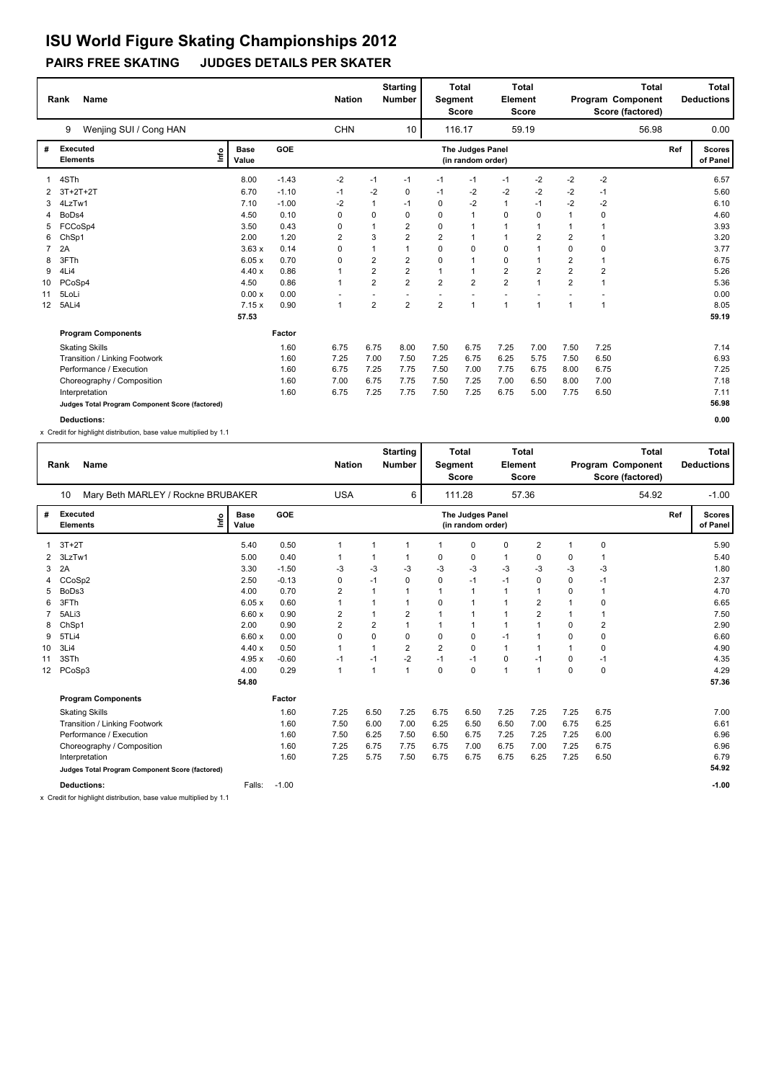## **PAIRS FREE SKATING JUDGES DETAILS PER SKATER**

|                 | <b>Name</b><br>Rank                             |                      |         | <b>Nation</b> |                | <b>Starting</b><br><b>Number</b> | Segment        | <b>Total</b><br><b>Score</b>          | Element        | <b>Total</b><br><b>Score</b> |                | Program Component<br>Score (factored) | <b>Total</b> | Total<br><b>Deductions</b> |
|-----------------|-------------------------------------------------|----------------------|---------|---------------|----------------|----------------------------------|----------------|---------------------------------------|----------------|------------------------------|----------------|---------------------------------------|--------------|----------------------------|
|                 | Wenjing SUI / Cong HAN<br>9                     |                      |         | <b>CHN</b>    |                | 10                               |                | 116.17                                |                | 59.19                        |                |                                       | 56.98        | 0.00                       |
| #               | <b>Executed</b><br>١nf٥<br><b>Elements</b>      | <b>Base</b><br>Value | GOE     |               |                |                                  |                | The Judges Panel<br>(in random order) |                |                              |                |                                       | Ref          | <b>Scores</b><br>of Panel  |
|                 | 4STh                                            | 8.00                 | $-1.43$ | $-2$          | $-1$           | $-1$                             | $-1$           | $-1$                                  | $-1$           | $-2$                         | $-2$           | $-2$                                  |              | 6.57                       |
| 2               | $3T+2T+2T$                                      | 6.70                 | $-1.10$ | $-1$          | $-2$           | 0                                | $-1$           | $-2$                                  | $-2$           | $-2$                         | -2             | $-1$                                  |              | 5.60                       |
| 3               | 4LzTw1                                          | 7.10                 | $-1.00$ | -2            | $\mathbf{1}$   | $-1$                             | $\Omega$       | -2                                    | $\mathbf{1}$   | $-1$                         | $-2$           | $-2$                                  |              | 6.10                       |
| 4               | BoDs4                                           | 4.50                 | 0.10    | 0             | 0              | $\Omega$                         | $\Omega$       | $\mathbf{1}$                          | 0              | 0                            | $\mathbf{1}$   | 0                                     |              | 4.60                       |
| 5               | FCCoSp4                                         | 3.50                 | 0.43    | 0             | 1              | $\overline{2}$                   | $\mathbf 0$    | $\overline{1}$                        | $\mathbf{1}$   | $\mathbf 1$                  | 1              | 1                                     |              | 3.93                       |
| 6               | ChSp1                                           | 2.00                 | 1.20    | 2             | 3              | $\overline{2}$                   | $\overline{2}$ | $\overline{1}$                        | $\mathbf{1}$   | $\overline{2}$               | $\overline{2}$ |                                       |              | 3.20                       |
|                 | 2A                                              | 3.63x                | 0.14    | 0             | 1              | $\mathbf{1}$                     | 0              | $\mathbf 0$                           | 0              | 1                            | 0              | 0                                     |              | 3.77                       |
| 8               | 3FTh                                            | 6.05x                | 0.70    | 0             | $\overline{2}$ | $\overline{2}$                   | $\Omega$       | $\overline{1}$                        | 0              | 1                            | $\overline{2}$ | $\overline{1}$                        |              | 6.75                       |
| 9               | 4Li4                                            | 4.40x                | 0.86    |               | 2              | $\overline{2}$                   | 1              | $\overline{1}$                        | $\overline{2}$ | 2                            | $\overline{2}$ | $\overline{2}$                        |              | 5.26                       |
| 10              | PCoSp4                                          | 4.50                 | 0.86    | 1             | $\overline{2}$ | $\overline{2}$                   | $\overline{2}$ | $\overline{2}$                        | $\overline{2}$ | $\overline{1}$               | $\overline{2}$ | $\overline{1}$                        |              | 5.36                       |
| 11              | 5LoLi                                           | 0.00x                | 0.00    |               |                |                                  |                |                                       |                |                              |                |                                       |              | 0.00                       |
| 12 <sup>2</sup> | 5ALi4                                           | 7.15x                | 0.90    | $\mathbf{1}$  | $\overline{2}$ | $\overline{2}$                   | $\overline{2}$ | $\overline{1}$                        | $\overline{1}$ | $\mathbf{1}$                 | $\overline{1}$ | 1                                     |              | 8.05                       |
|                 |                                                 | 57.53                |         |               |                |                                  |                |                                       |                |                              |                |                                       |              | 59.19                      |
|                 | <b>Program Components</b>                       |                      | Factor  |               |                |                                  |                |                                       |                |                              |                |                                       |              |                            |
|                 | <b>Skating Skills</b>                           |                      | 1.60    | 6.75          | 6.75           | 8.00                             | 7.50           | 6.75                                  | 7.25           | 7.00                         | 7.50           | 7.25                                  |              | 7.14                       |
|                 | <b>Transition / Linking Footwork</b>            |                      | 1.60    | 7.25          | 7.00           | 7.50                             | 7.25           | 6.75                                  | 6.25           | 5.75                         | 7.50           | 6.50                                  |              | 6.93                       |
|                 | Performance / Execution                         |                      | 1.60    | 6.75          | 7.25           | 7.75                             | 7.50           | 7.00                                  | 7.75           | 6.75                         | 8.00           | 6.75                                  |              | 7.25                       |
|                 | Choreography / Composition                      |                      | 1.60    | 7.00          | 6.75           | 7.75                             | 7.50           | 7.25                                  | 7.00           | 6.50                         | 8.00           | 7.00                                  |              | 7.18                       |
|                 | Interpretation                                  |                      | 1.60    | 6.75          | 7.25           | 7.75                             | 7.50           | 7.25                                  | 6.75           | 5.00                         | 7.75           | 6.50                                  |              | 7.11                       |
|                 | Judges Total Program Component Score (factored) |                      |         |               |                |                                  |                |                                       |                |                              |                |                                       |              | 56.98                      |
|                 | <b>Deductions:</b>                              |                      |         |               |                |                                  |                |                                       |                |                              |                |                                       |              | 0.00                       |

x Credit for highlight distribution, base value multiplied by 1.1

|    | Name<br>Rank                                    |                      |            | <b>Nation</b>  |             | <b>Starting</b><br><b>Number</b> | Segment        | <b>Total</b><br><b>Score</b>          | Element      | <b>Total</b><br>Score |                |                | <b>Total</b><br>Program Component<br>Score (factored) |     | <b>Total</b><br><b>Deductions</b> |
|----|-------------------------------------------------|----------------------|------------|----------------|-------------|----------------------------------|----------------|---------------------------------------|--------------|-----------------------|----------------|----------------|-------------------------------------------------------|-----|-----------------------------------|
|    | 10<br>Mary Beth MARLEY / Rockne BRUBAKER        |                      |            | <b>USA</b>     |             | 6                                |                | 111.28                                |              | 57.36                 |                |                | 54.92                                                 |     | $-1.00$                           |
| #  | Executed<br>Info<br><b>Elements</b>             | <b>Base</b><br>Value | <b>GOE</b> |                |             |                                  |                | The Judges Panel<br>(in random order) |              |                       |                |                |                                                       | Ref | <b>Scores</b><br>of Panel         |
|    | $3T+2T$                                         | 5.40                 | 0.50       |                |             |                                  |                | 0                                     | 0            | $\overline{2}$        |                | 0              |                                                       |     | 5.90                              |
| 2  | 3LzTw1                                          | 5.00                 | 0.40       |                |             |                                  | 0              | 0                                     | $\mathbf{1}$ | 0                     | 0              |                |                                                       |     | 5.40                              |
| 3  | 2A                                              | 3.30                 | $-1.50$    | -3             | -3          | -3                               | $-3$           | $-3$                                  | $-3$         | -3                    | -3             | -3             |                                                       |     | 1.80                              |
| 4  | CCoSp2                                          | 2.50                 | $-0.13$    | 0              | $-1$        | 0                                | 0              | $-1$                                  | $-1$         | 0                     | $\Omega$       | -1             |                                                       |     | 2.37                              |
| 5  | BoDs3                                           | 4.00                 | 0.70       | 2              |             |                                  | 1              | 1                                     | $\mathbf{1}$ |                       | $\Omega$       |                |                                                       |     | 4.70                              |
| 6  | 3FTh                                            | 6.05x                | 0.60       |                |             |                                  | 0              | 1                                     | $\mathbf{1}$ | 2                     |                | 0              |                                                       |     | 6.65                              |
|    | 5ALi3                                           | 6.60x                | 0.90       | $\overline{2}$ | 1           | 2                                | 1              | $\mathbf{1}$                          | $\mathbf{1}$ | $\overline{2}$        |                | 1              |                                                       |     | 7.50                              |
| 8  | ChSp1                                           | 2.00                 | 0.90       | $\overline{2}$ | 2           |                                  | 1              | 1                                     | $\mathbf{1}$ |                       | $\Omega$       | $\overline{2}$ |                                                       |     | 2.90                              |
| 9  | 5TLi4                                           | 6.60x                | 0.00       | 0              | $\Omega$    | 0                                | 0              | 0                                     | $-1$         |                       | $\Omega$       | 0              |                                                       |     | 6.60                              |
| 10 | 3Li4                                            | 4.40x                | 0.50       | $\mathbf{1}$   | 1           | $\overline{2}$                   | $\overline{2}$ | $\Omega$                              | $\mathbf{1}$ |                       | $\overline{1}$ | $\mathbf 0$    |                                                       |     | 4.90                              |
| 11 | 3STh                                            | 4.95x                | $-0.60$    | $-1$           | $-1$        | $-2$                             | $-1$           | $-1$                                  | 0            | $-1$                  | 0              | $-1$           |                                                       |     | 4.35                              |
| 12 | PCoSp3                                          | 4.00                 | 0.29       | $\mathbf{1}$   | $\mathbf 1$ | 1                                | 0              | $\Omega$                              | $\mathbf{1}$ | $\overline{1}$        | $\Omega$       | $\mathbf 0$    |                                                       |     | 4.29                              |
|    |                                                 | 54.80                |            |                |             |                                  |                |                                       |              |                       |                |                |                                                       |     | 57.36                             |
|    | <b>Program Components</b>                       |                      | Factor     |                |             |                                  |                |                                       |              |                       |                |                |                                                       |     |                                   |
|    | <b>Skating Skills</b>                           |                      | 1.60       | 7.25           | 6.50        | 7.25                             | 6.75           | 6.50                                  | 7.25         | 7.25                  | 7.25           | 6.75           |                                                       |     | 7.00                              |
|    | Transition / Linking Footwork                   |                      | 1.60       | 7.50           | 6.00        | 7.00                             | 6.25           | 6.50                                  | 6.50         | 7.00                  | 6.75           | 6.25           |                                                       |     | 6.61                              |
|    | Performance / Execution                         |                      | 1.60       | 7.50           | 6.25        | 7.50                             | 6.50           | 6.75                                  | 7.25         | 7.25                  | 7.25           | 6.00           |                                                       |     | 6.96                              |
|    | Choreography / Composition                      |                      | 1.60       | 7.25           | 6.75        | 7.75                             | 6.75           | 7.00                                  | 6.75         | 7.00                  | 7.25           | 6.75           |                                                       |     | 6.96                              |
|    | Interpretation                                  |                      | 1.60       | 7.25           | 5.75        | 7.50                             | 6.75           | 6.75                                  | 6.75         | 6.25                  | 7.25           | 6.50           |                                                       |     | 6.79                              |
|    | Judges Total Program Component Score (factored) |                      |            |                |             |                                  |                |                                       |              |                       |                |                |                                                       |     | 54.92                             |
|    | <b>Deductions:</b>                              | Falls:               | $-1.00$    |                |             |                                  |                |                                       |              |                       |                |                |                                                       |     | $-1.00$                           |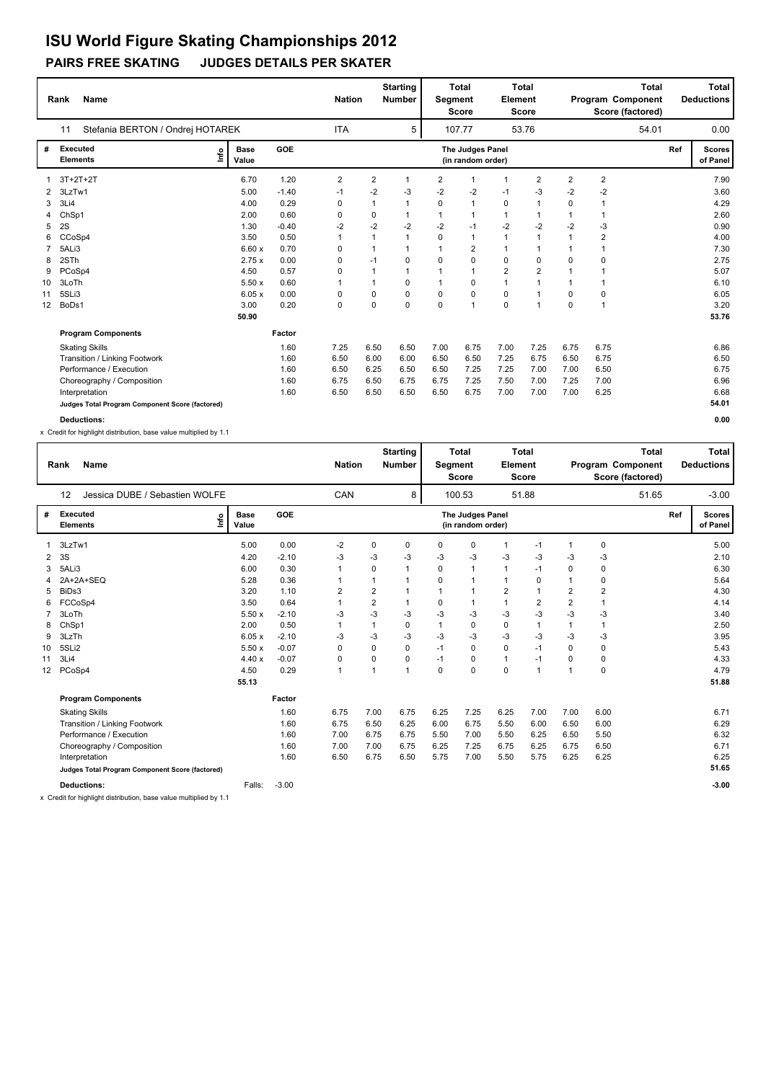## **PAIRS FREE SKATING JUDGES DETAILS PER SKATER ISU World Figure Skating Championships 2012**

|    | <b>Name</b><br>Rank                             |    |                      |         | <b>Nation</b>  |                | <b>Starting</b><br><b>Number</b> | Segment        | <b>Total</b><br><b>Score</b>          | Element        | <b>Total</b><br><b>Score</b> |                |      | <b>Total</b><br>Program Component<br>Score (factored) |     | <b>Total</b><br><b>Deductions</b> |
|----|-------------------------------------------------|----|----------------------|---------|----------------|----------------|----------------------------------|----------------|---------------------------------------|----------------|------------------------------|----------------|------|-------------------------------------------------------|-----|-----------------------------------|
|    | Stefania BERTON / Ondrej HOTAREK<br>11          |    |                      |         | <b>ITA</b>     |                | 5                                |                | 107.77                                |                | 53.76                        |                |      | 54.01                                                 |     | 0.00                              |
| #  | <b>Executed</b><br><b>Elements</b>              | ۴ů | <b>Base</b><br>Value | GOE     |                |                |                                  |                | The Judges Panel<br>(in random order) |                |                              |                |      |                                                       | Ref | <b>Scores</b><br>of Panel         |
|    | $3T+2T+2T$                                      |    | 6.70                 | 1.20    | $\overline{2}$ | 2              | $\mathbf{1}$                     | $\overline{2}$ | $\overline{1}$                        | 1              | $\overline{2}$               | $\overline{2}$ | 2    |                                                       |     | 7.90                              |
|    | 3LzTw1                                          |    | 5.00                 | $-1.40$ | $-1$           | $-2$           | $-3$                             | $-2$           | $-2$                                  | $-1$           | $-3$                         | $-2$           | $-2$ |                                                       |     | 3.60                              |
| 3  | 3Li4                                            |    | 4.00                 | 0.29    | 0              | $\overline{1}$ | $\mathbf{1}$                     | $\Omega$       | $\overline{1}$                        | $\mathbf 0$    | 1                            | $\Omega$       |      |                                                       |     | 4.29                              |
| 4  | ChSp1                                           |    | 2.00                 | 0.60    | 0              | 0              | 1                                |                | $\overline{1}$                        | $\mathbf{1}$   |                              |                |      |                                                       |     | 2.60                              |
| 5  | 2S                                              |    | 1.30                 | $-0.40$ | $-2$           | $-2$           | $-2$                             | $-2$           | $-1$                                  | $-2$           | $-2$                         | $-2$           | $-3$ |                                                       |     | 0.90                              |
| 6  | CCoSp4                                          |    | 3.50                 | 0.50    |                | 1              | $\mathbf{1}$                     | 0              | $\overline{1}$                        | 1              |                              | 1              | 2    |                                                       |     | 4.00                              |
|    | 5ALi3                                           |    | 6.60x                | 0.70    | 0              | 1              | $\mathbf{1}$                     |                | $\overline{2}$                        | $\mathbf{1}$   |                              | 1              | 1    |                                                       |     | 7.30                              |
| 8  | 2STh                                            |    | 2.75x                | 0.00    | 0              | $-1$           | 0                                | $\mathbf 0$    | $\mathbf 0$                           | $\mathbf 0$    | 0                            | $\Omega$       | 0    |                                                       |     | 2.75                              |
| 9  | PCoSp4                                          |    | 4.50                 | 0.57    | 0              | 1              | $\mathbf{1}$                     | $\overline{1}$ | 1                                     | $\overline{2}$ | $\overline{2}$               | $\overline{1}$ | 1    |                                                       |     | 5.07                              |
| 10 | 3LoTh                                           |    | 5.50x                | 0.60    | 1              | $\overline{1}$ | $\Omega$                         |                | $\mathbf 0$                           | $\mathbf{1}$   | 1                            | 1              | 1    |                                                       |     | 6.10                              |
| 11 | 5SLi3                                           |    | 6.05x                | 0.00    | 0              | 0              | $\Omega$                         | $\Omega$       | $\Omega$                              | 0              | 1                            | $\Omega$       | 0    |                                                       |     | 6.05                              |
| 12 | BoDs1                                           |    | 3.00                 | 0.20    | 0              | 0              | $\Omega$                         | $\Omega$       | 1                                     | 0              | -1                           | $\Omega$       | 1    |                                                       |     | 3.20                              |
|    |                                                 |    | 50.90                |         |                |                |                                  |                |                                       |                |                              |                |      |                                                       |     | 53.76                             |
|    | <b>Program Components</b>                       |    |                      | Factor  |                |                |                                  |                |                                       |                |                              |                |      |                                                       |     |                                   |
|    | <b>Skating Skills</b>                           |    |                      | 1.60    | 7.25           | 6.50           | 6.50                             | 7.00           | 6.75                                  | 7.00           | 7.25                         | 6.75           | 6.75 |                                                       |     | 6.86                              |
|    | Transition / Linking Footwork                   |    |                      | 1.60    | 6.50           | 6.00           | 6.00                             | 6.50           | 6.50                                  | 7.25           | 6.75                         | 6.50           | 6.75 |                                                       |     | 6.50                              |
|    | Performance / Execution                         |    |                      | 1.60    | 6.50           | 6.25           | 6.50                             | 6.50           | 7.25                                  | 7.25           | 7.00                         | 7.00           | 6.50 |                                                       |     | 6.75                              |
|    | Choreography / Composition                      |    |                      | 1.60    | 6.75           | 6.50           | 6.75                             | 6.75           | 7.25                                  | 7.50           | 7.00                         | 7.25           | 7.00 |                                                       |     | 6.96                              |
|    | Interpretation                                  |    |                      | 1.60    | 6.50           | 6.50           | 6.50                             | 6.50           | 6.75                                  | 7.00           | 7.00                         | 7.00           | 6.25 |                                                       |     | 6.68                              |
|    | Judges Total Program Component Score (factored) |    |                      |         |                |                |                                  |                |                                       |                |                              |                |      |                                                       |     | 54.01                             |

**Deductions: 0.00**

x Credit for highlight distribution, base value multiplied by 1.1

|    | <b>Name</b><br>Rank                             |                      |            | <b>Nation</b>  |                         | <b>Starting</b><br><b>Number</b> | <b>Segment</b> | <b>Total</b><br><b>Score</b>          | Element        | <b>Total</b><br><b>Score</b> |                |                | <b>Total</b><br>Program Component<br>Score (factored) |     | Total<br><b>Deductions</b> |
|----|-------------------------------------------------|----------------------|------------|----------------|-------------------------|----------------------------------|----------------|---------------------------------------|----------------|------------------------------|----------------|----------------|-------------------------------------------------------|-----|----------------------------|
|    | Jessica DUBE / Sebastien WOLFE<br>12            |                      |            | CAN            |                         | 8                                |                | 100.53                                |                | 51.88                        |                |                | 51.65                                                 |     | $-3.00$                    |
| #  | Executed<br>lnfo<br><b>Elements</b>             | <b>Base</b><br>Value | <b>GOE</b> |                |                         |                                  |                | The Judges Panel<br>(in random order) |                |                              |                |                |                                                       | Ref | <b>Scores</b><br>of Panel  |
|    | 3LzTw1                                          | 5.00                 | 0.00       | $-2$           | 0                       | 0                                | 0              | 0                                     | $\mathbf{1}$   | $-1$                         | $\mathbf{1}$   | 0              |                                                       |     | 5.00                       |
| 2  | 3S                                              | 4.20                 | $-2.10$    | -3             | -3                      | -3                               | $-3$           | -3                                    | $-3$           | -3                           | -3             | -3             |                                                       |     | 2.10                       |
| 3  | 5ALi3                                           | 6.00                 | 0.30       | $\mathbf{1}$   | 0                       | 1                                | 0              | 1                                     | $\mathbf{1}$   | $-1$                         | $\Omega$       | 0              |                                                       |     | 6.30                       |
| 4  | 2A+2A+SEQ                                       | 5.28                 | 0.36       | 1              |                         |                                  | 0              | 1                                     | $\mathbf{1}$   | $\mathbf 0$                  | $\mathbf 1$    | $\mathbf 0$    |                                                       |     | 5.64                       |
| 5  | BiDs3                                           | 3.20                 | 1.10       | $\overline{2}$ | $\overline{\mathbf{c}}$ |                                  |                | 1                                     | $\overline{2}$ |                              | $\overline{2}$ | $\overline{2}$ |                                                       |     | 4.30                       |
| 6  | FCCoSp4                                         | 3.50                 | 0.64       | 1              | $\overline{\mathbf{c}}$ |                                  | 0              | 1                                     | $\mathbf{1}$   | $\overline{2}$               | $\overline{2}$ |                |                                                       |     | 4.14                       |
| 7  | 3LoTh                                           | 5.50x                | $-2.10$    | -3             | -3                      | -3                               | $-3$           | -3                                    | $-3$           | $-3$                         | -3             | -3             |                                                       |     | 3.40                       |
| 8  | ChSp1                                           | 2.00                 | 0.50       | $\mathbf{1}$   |                         | 0                                |                | 0                                     | 0              | $\overline{1}$               | $\mathbf{1}$   |                |                                                       |     | 2.50                       |
| 9  | 3LzTh                                           | 6.05x                | $-2.10$    | -3             | -3                      | -3                               | -3             | $-3$                                  | $-3$           | -3                           | -3             | $-3$           |                                                       |     | 3.95                       |
| 10 | 5SLi2                                           | 5.50x                | $-0.07$    | 0              | 0                       | 0                                | $-1$           | 0                                     | $\mathbf 0$    | $-1$                         | 0              | 0              |                                                       |     | 5.43                       |
| 11 | 3Li4                                            | 4.40x                | $-0.07$    | 0              | 0                       | 0                                | $-1$           | 0                                     | $\mathbf{1}$   | $-1$                         | $\Omega$       | 0              |                                                       |     | 4.33                       |
| 12 | PCoSp4                                          | 4.50                 | 0.29       | $\mathbf{1}$   |                         | 1                                | $\Omega$       | $\Omega$                              | $\mathbf 0$    | $\overline{1}$               | $\mathbf{1}$   | $\mathbf 0$    |                                                       |     | 4.79                       |
|    |                                                 | 55.13                |            |                |                         |                                  |                |                                       |                |                              |                |                |                                                       |     | 51.88                      |
|    | <b>Program Components</b>                       |                      | Factor     |                |                         |                                  |                |                                       |                |                              |                |                |                                                       |     |                            |
|    | <b>Skating Skills</b>                           |                      | 1.60       | 6.75           | 7.00                    | 6.75                             | 6.25           | 7.25                                  | 6.25           | 7.00                         | 7.00           | 6.00           |                                                       |     | 6.71                       |
|    | Transition / Linking Footwork                   |                      | 1.60       | 6.75           | 6.50                    | 6.25                             | 6.00           | 6.75                                  | 5.50           | 6.00                         | 6.50           | 6.00           |                                                       |     | 6.29                       |
|    | Performance / Execution                         |                      | 1.60       | 7.00           | 6.75                    | 6.75                             | 5.50           | 7.00                                  | 5.50           | 6.25                         | 6.50           | 5.50           |                                                       |     | 6.32                       |
|    | Choreography / Composition                      |                      | 1.60       | 7.00           | 7.00                    | 6.75                             | 6.25           | 7.25                                  | 6.75           | 6.25                         | 6.75           | 6.50           |                                                       |     | 6.71                       |
|    | Interpretation                                  |                      | 1.60       | 6.50           | 6.75                    | 6.50                             | 5.75           | 7.00                                  | 5.50           | 5.75                         | 6.25           | 6.25           |                                                       |     | 6.25                       |
|    | Judges Total Program Component Score (factored) |                      |            |                |                         |                                  |                |                                       |                |                              |                |                |                                                       |     | 51.65                      |
|    | <b>Deductions:</b>                              | Falls:               | $-3.00$    |                |                         |                                  |                |                                       |                |                              |                |                |                                                       |     | $-3.00$                    |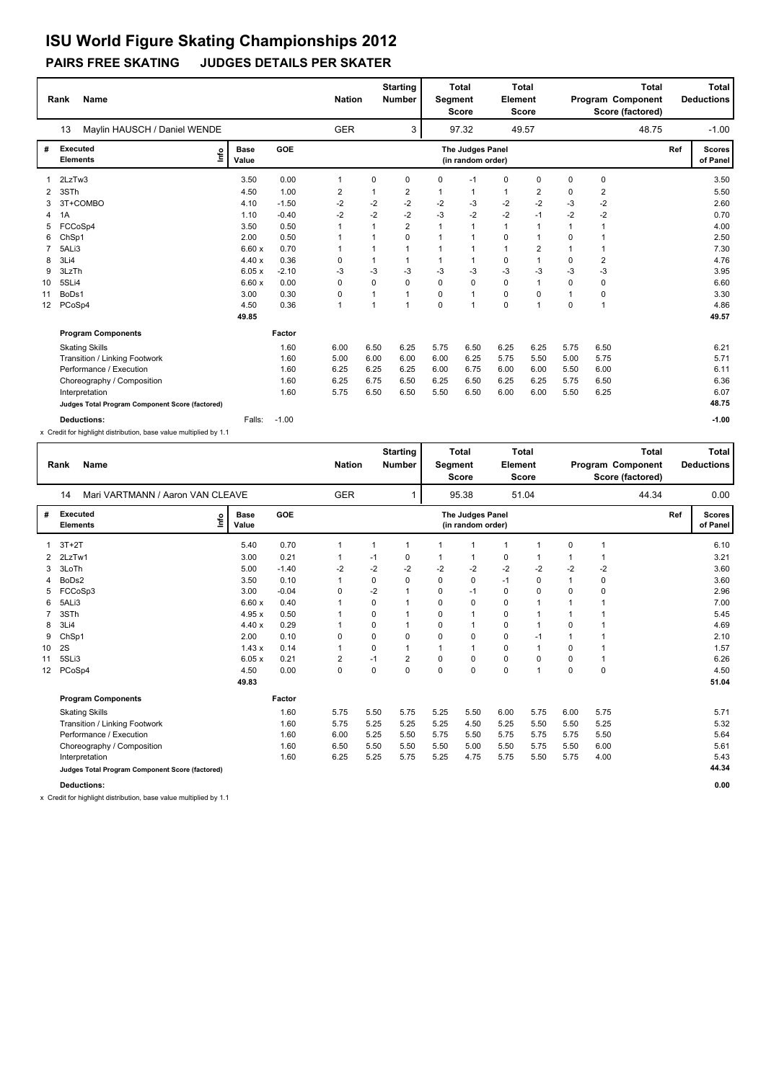## **PAIRS FREE SKATING JUDGES DETAILS PER SKATER**

|    | Name<br>Rank                                    |                      |         | <b>Nation</b> |              | <b>Starting</b><br><b>Number</b> | <b>Segment</b> | <b>Total</b><br><b>Score</b>          | Element      | <b>Total</b><br><b>Score</b> |              | Program Component<br>Score (factored) | <b>Total</b> |     | Total<br><b>Deductions</b> |
|----|-------------------------------------------------|----------------------|---------|---------------|--------------|----------------------------------|----------------|---------------------------------------|--------------|------------------------------|--------------|---------------------------------------|--------------|-----|----------------------------|
|    | Maylin HAUSCH / Daniel WENDE<br>13              |                      |         | <b>GER</b>    |              | 3                                |                | 97.32                                 |              | 49.57                        |              |                                       | 48.75        |     | $-1.00$                    |
| #  | Executed<br>١nf٥<br><b>Elements</b>             | <b>Base</b><br>Value | GOE     |               |              |                                  |                | The Judges Panel<br>(in random order) |              |                              |              |                                       |              | Ref | <b>Scores</b><br>of Panel  |
|    | 2LzTw3                                          | 3.50                 | 0.00    | 1             | $\mathbf 0$  | $\mathbf 0$                      | 0              | $-1$                                  | $\mathbf 0$  | $\mathbf 0$                  | $\mathbf 0$  | $\mathbf 0$                           |              |     | 3.50                       |
| 2  | 3STh                                            | 4.50                 | 1.00    | 2             | 1            | 2                                | 1              | $\mathbf{1}$                          | $\mathbf{1}$ | 2                            | 0            | $\overline{2}$                        |              |     | 5.50                       |
| 3  | 3T+COMBO                                        | 4.10                 | $-1.50$ | $-2$          | $-2$         | $-2$                             | $-2$           | $-3$                                  | $-2$         | $-2$                         | $-3$         | $-2$                                  |              |     | 2.60                       |
| 4  | 1A                                              | 1.10                 | $-0.40$ | $-2$          | $-2$         | $-2$                             | $-3$           | $-2$                                  | $-2$         | $-1$                         | $-2$         | $-2$                                  |              |     | 0.70                       |
| 5  | FCCoSp4                                         | 3.50                 | 0.50    | 1             | 1            | $\overline{2}$                   | $\mathbf 1$    | $\mathbf{1}$                          | $\mathbf{1}$ | $\overline{1}$               | $\mathbf{1}$ | $\mathbf{1}$                          |              |     | 4.00                       |
| 6  | ChSp1                                           | 2.00                 | 0.50    |               |              | $\Omega$                         | $\mathbf 1$    | $\mathbf{1}$                          | 0            | $\overline{1}$               | $\Omega$     |                                       |              |     | 2.50                       |
|    | 5ALi3                                           | 6.60x                | 0.70    |               | 1            | 1                                | 1              | $\mathbf{1}$                          | $\mathbf{1}$ | $\overline{2}$               | $\mathbf{1}$ | 1                                     |              |     | 7.30                       |
| 8  | 3Li4                                            | 4.40x                | 0.36    | 0             | $\mathbf{1}$ | 1                                | 1              | $\mathbf{1}$                          | 0            | 1                            | 0            | $\overline{2}$                        |              |     | 4.76                       |
| 9  | 3LzTh                                           | 6.05x                | $-2.10$ | $-3$          | $-3$         | $-3$                             | $-3$           | $-3$                                  | $-3$         | $-3$                         | -3           | $-3$                                  |              |     | 3.95                       |
| 10 | 5SLi4                                           | 6.60x                | 0.00    | 0             | $\mathbf 0$  | $\mathbf 0$                      | 0              | $\mathbf 0$                           | $\pmb{0}$    | $\overline{1}$               | $\mathbf 0$  | $\mathbf 0$                           |              |     | 6.60                       |
| 11 | BoDs1                                           | 3.00                 | 0.30    | 0             | 1            | $\mathbf{1}$                     | 0              | $\mathbf{1}$                          | $\mathbf 0$  | $\mathbf 0$                  | $\mathbf{1}$ | $\mathbf 0$                           |              |     | 3.30                       |
| 12 | PCoSp4                                          | 4.50                 | 0.36    | 1             |              | 1                                | 0              | $\mathbf{1}$                          | $\mathbf 0$  | $\overline{1}$               | 0            | $\overline{1}$                        |              |     | 4.86                       |
|    |                                                 | 49.85                |         |               |              |                                  |                |                                       |              |                              |              |                                       |              |     | 49.57                      |
|    | <b>Program Components</b>                       |                      | Factor  |               |              |                                  |                |                                       |              |                              |              |                                       |              |     |                            |
|    | <b>Skating Skills</b>                           |                      | 1.60    | 6.00          | 6.50         | 6.25                             | 5.75           | 6.50                                  | 6.25         | 6.25                         | 5.75         | 6.50                                  |              |     | 6.21                       |
|    | Transition / Linking Footwork                   |                      | 1.60    | 5.00          | 6.00         | 6.00                             | 6.00           | 6.25                                  | 5.75         | 5.50                         | 5.00         | 5.75                                  |              |     | 5.71                       |
|    | Performance / Execution                         |                      | 1.60    | 6.25          | 6.25         | 6.25                             | 6.00           | 6.75                                  | 6.00         | 6.00                         | 5.50         | 6.00                                  |              |     | 6.11                       |
|    | Choreography / Composition                      |                      | 1.60    | 6.25          | 6.75         | 6.50                             | 6.25           | 6.50                                  | 6.25         | 6.25                         | 5.75         | 6.50                                  |              |     | 6.36                       |
|    | Interpretation                                  |                      | 1.60    | 5.75          | 6.50         | 6.50                             | 5.50           | 6.50                                  | 6.00         | 6.00                         | 5.50         | 6.25                                  |              |     | 6.07                       |
|    | Judges Total Program Component Score (factored) |                      |         |               |              |                                  |                |                                       |              |                              |              |                                       |              |     | 48.75                      |
|    | <b>Deductions:</b>                              | Falls:               | $-1.00$ |               |              |                                  |                |                                       |              |                              |              |                                       |              |     | $-1.00$                    |

x Credit for highlight distribution, base value multiplied by 1.1

|    | <b>Name</b><br>Rank                             |                      |            | <b>Nation</b>  |             | <b>Starting</b><br><b>Number</b> | Segment | <b>Total</b><br><b>Score</b>          | Element      | <b>Total</b><br><b>Score</b> |              | Program Component | <b>Total</b><br>Score (factored) |     | Total<br><b>Deductions</b> |
|----|-------------------------------------------------|----------------------|------------|----------------|-------------|----------------------------------|---------|---------------------------------------|--------------|------------------------------|--------------|-------------------|----------------------------------|-----|----------------------------|
|    | Mari VARTMANN / Aaron VAN CLEAVE<br>14          |                      |            | <b>GER</b>     |             |                                  |         | 95.38                                 |              | 51.04                        |              |                   | 44.34                            |     | 0.00                       |
| #  | Executed<br>lnfo<br><b>Elements</b>             | <b>Base</b><br>Value | <b>GOE</b> |                |             |                                  |         | The Judges Panel<br>(in random order) |              |                              |              |                   |                                  | Ref | <b>Scores</b><br>of Panel  |
|    | $3T+2T$                                         | 5.40                 | 0.70       |                | $\mathbf 1$ |                                  |         | $\mathbf 1$                           | $\mathbf{1}$ |                              | 0            |                   |                                  |     | 6.10                       |
| 2  | 2LzTw1                                          | 3.00                 | 0.21       |                | -1          | 0                                | 1       | 1                                     | 0            |                              |              |                   |                                  |     | 3.21                       |
| 3  | 3LoTh                                           | 5.00                 | $-1.40$    | $-2$           | $-2$        | $-2$                             | $-2$    | $-2$                                  | $-2$         | $-2$                         | $-2$         | $-2$              |                                  |     | 3.60                       |
| 4  | BoDs2                                           | 3.50                 | 0.10       |                | 0           | 0                                | 0       | 0                                     | $-1$         | 0                            | $\mathbf{1}$ | $\mathbf 0$       |                                  |     | 3.60                       |
| 5  | FCCoSp3                                         | 3.00                 | $-0.04$    | $\mathbf 0$    | $-2$        |                                  | 0       | $-1$                                  | $\mathbf 0$  | $\mathbf 0$                  | $\Omega$     | 0                 |                                  |     | 2.96                       |
| 6  | 5ALi3                                           | 6.60x                | 0.40       |                | 0           |                                  | 0       | 0                                     | 0            |                              |              |                   |                                  |     | 7.00                       |
| 7  | 3STh                                            | 4.95x                | 0.50       |                | 0           |                                  | 0       | 1                                     | $\mathbf 0$  |                              |              |                   |                                  |     | 5.45                       |
| 8  | 3Li4                                            | 4.40x                | 0.29       |                | $\Omega$    |                                  | 0       | 1                                     | $\mathbf 0$  | 1                            | 0            |                   |                                  |     | 4.69                       |
| 9  | ChSp1                                           | 2.00                 | 0.10       | $\mathbf 0$    | 0           | 0                                | 0       | 0                                     | 0            | $-1$                         | -1           | 1                 |                                  |     | 2.10                       |
| 10 | 2S                                              | 1.43x                | 0.14       | 1              | $\Omega$    |                                  | 1       | 1                                     | 0            | $\overline{1}$               | $\Omega$     |                   |                                  |     | 1.57                       |
| 11 | 5SLi3                                           | 6.05x                | 0.21       | $\overline{2}$ | $-1$        | 2                                | 0       | 0                                     | 0            | 0                            | $\Omega$     | 1                 |                                  |     | 6.26                       |
| 12 | PCoSp4                                          | 4.50                 | 0.00       | $\mathbf 0$    | $\Omega$    | 0                                | 0       | $\Omega$                              | $\Omega$     | 1                            | $\Omega$     | $\mathbf 0$       |                                  |     | 4.50                       |
|    |                                                 | 49.83                |            |                |             |                                  |         |                                       |              |                              |              |                   |                                  |     | 51.04                      |
|    | <b>Program Components</b>                       |                      | Factor     |                |             |                                  |         |                                       |              |                              |              |                   |                                  |     |                            |
|    | <b>Skating Skills</b>                           |                      | 1.60       | 5.75           | 5.50        | 5.75                             | 5.25    | 5.50                                  | 6.00         | 5.75                         | 6.00         | 5.75              |                                  |     | 5.71                       |
|    | Transition / Linking Footwork                   |                      | 1.60       | 5.75           | 5.25        | 5.25                             | 5.25    | 4.50                                  | 5.25         | 5.50                         | 5.50         | 5.25              |                                  |     | 5.32                       |
|    | Performance / Execution                         |                      | 1.60       | 6.00           | 5.25        | 5.50                             | 5.75    | 5.50                                  | 5.75         | 5.75                         | 5.75         | 5.50              |                                  |     | 5.64                       |
|    | Choreography / Composition                      |                      | 1.60       | 6.50           | 5.50        | 5.50                             | 5.50    | 5.00                                  | 5.50         | 5.75                         | 5.50         | 6.00              |                                  |     | 5.61                       |
|    | Interpretation                                  |                      | 1.60       | 6.25           | 5.25        | 5.75                             | 5.25    | 4.75                                  | 5.75         | 5.50                         | 5.75         | 4.00              |                                  |     | 5.43                       |
|    | Judges Total Program Component Score (factored) |                      |            |                |             |                                  |         |                                       |              |                              |              |                   |                                  |     | 44.34                      |
|    | <b>Deductions:</b>                              |                      |            |                |             |                                  |         |                                       |              |                              |              |                   |                                  |     | 0.00                       |